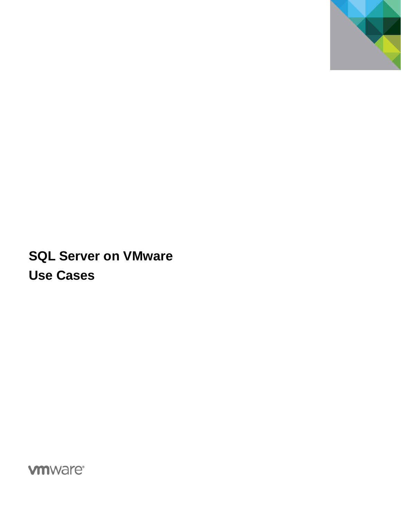

# **SQL Server on VMware Use Cases**

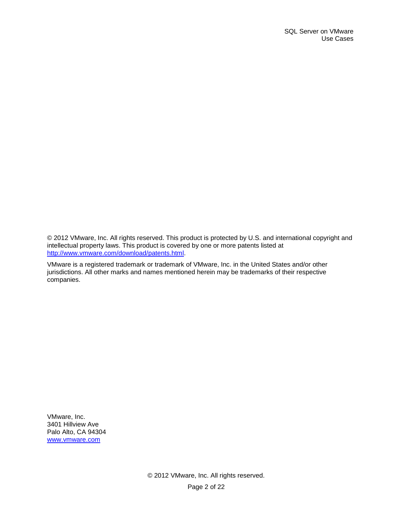© 2012 VMware, Inc. All rights reserved. This product is protected by U.S. and international copyright and intellectual property laws. This product is covered by one or more patents listed at [http://www.vmware.com/download/patents.html.](http://www.vmware.com/download/patents.html)

VMware is a registered trademark or trademark of VMware, Inc. in the United States and/or other jurisdictions. All other marks and names mentioned herein may be trademarks of their respective companies.

VMware, Inc. 3401 Hillview Ave Palo Alto, CA 94304 [www.vmware.com](http://www.vmware.com/)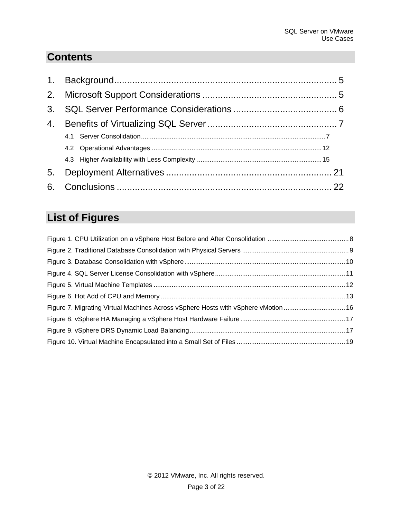# **Contents**

| 4.             |  |
|----------------|--|
|                |  |
|                |  |
|                |  |
| 5 <sub>1</sub> |  |
|                |  |

# **List of Figures**

| Figure 7. Migrating Virtual Machines Across vSphere Hosts with vSphere vMotion  16 |  |
|------------------------------------------------------------------------------------|--|
|                                                                                    |  |
|                                                                                    |  |
|                                                                                    |  |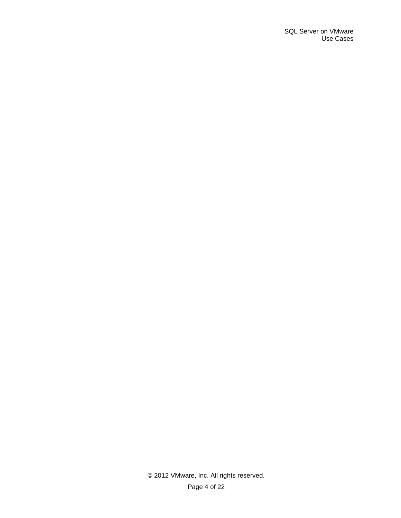SQL Server on VMware Use Cases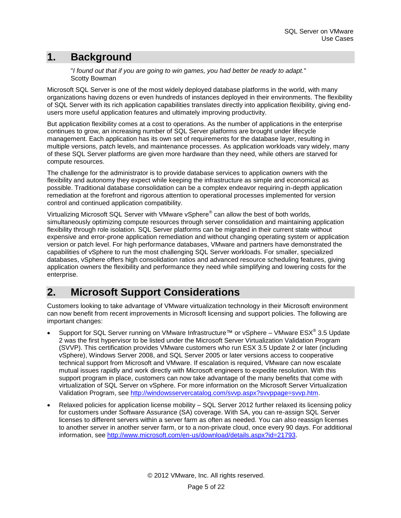# <span id="page-4-0"></span>**1. Background**

"*I found out that if you are going to win games, you had better be ready to adapt.*" Scotty Bowman

Microsoft SQL Server is one of the most widely deployed database platforms in the world, with many organizations having dozens or even hundreds of instances deployed in their environments. The flexibility of SQL Server with its rich application capabilities translates directly into application flexibility, giving endusers more useful application features and ultimately improving productivity.

But application flexibility comes at a cost to operations. As the number of applications in the enterprise continues to grow, an increasing number of SQL Server platforms are brought under lifecycle management. Each application has its own set of requirements for the database layer, resulting in multiple versions, patch levels, and maintenance processes. As application workloads vary widely, many of these SQL Server platforms are given more hardware than they need, while others are starved for compute resources.

The challenge for the administrator is to provide database services to application owners with the flexibility and autonomy they expect while keeping the infrastructure as simple and economical as possible. Traditional database consolidation can be a complex endeavor requiring in-depth application remediation at the forefront and rigorous attention to operational processes implemented for version control and continued application compatibility.

Virtualizing Microsoft SQL Server with VMware vSphere® can allow the best of both worlds, simultaneously optimizing compute resources through server consolidation and maintaining application flexibility through role isolation. SQL Server platforms can be migrated in their current state without expensive and error-prone application remediation and without changing operating system or application version or patch level. For high performance databases, VMware and partners have demonstrated the capabilities of vSphere to run the most challenging SQL Server workloads. For smaller, specialized databases, vSphere offers high consolidation ratios and advanced resource scheduling features, giving application owners the flexibility and performance they need while simplifying and lowering costs for the enterprise.

# <span id="page-4-1"></span>**2. Microsoft Support Considerations**

Customers looking to take advantage of VMware virtualization technology in their Microsoft environment can now benefit from recent improvements in Microsoft licensing and support policies. The following are important changes:

- Support for SQL Server running on VMware Infrastructure™ or vSphere VMware ESX<sup>®</sup> 3.5 Update 2 was the first hypervisor to be listed under the Microsoft Server Virtualization Validation Program (SVVP). This certification provides VMware customers who run ESX 3.5 Update 2 or later (including vSphere), Windows Server 2008, and SQL Server 2005 or later versions access to cooperative technical support from Microsoft and VMware. If escalation is required, VMware can now escalate mutual issues rapidly and work directly with Microsoft engineers to expedite resolution. With this support program in place, customers can now take advantage of the many benefits that come with virtualization of SQL Server on vSphere. For more information on the Microsoft Server Virtualization Validation Program, see [http://windowsservercatalog.com/svvp.aspx?svvppage=svvp.htm.](http://windowsservercatalog.com/svvp.aspx?svvppage=svvp.htm)
- Relaxed policies for application license mobility SQL Server 2012 further relaxed its licensing policy for customers under Software Assurance (SA) coverage. With SA, you can re-assign SQL Server licenses to different servers within a server farm as often as needed. You can also reassign licenses to another server in another server farm, or to a non-private cloud, once every 90 days. For additional information, see [http://www.microsoft.com/en-us/download/details.aspx?id=21793.](http://www.microsoft.com/en-us/download/details.aspx?id=21793)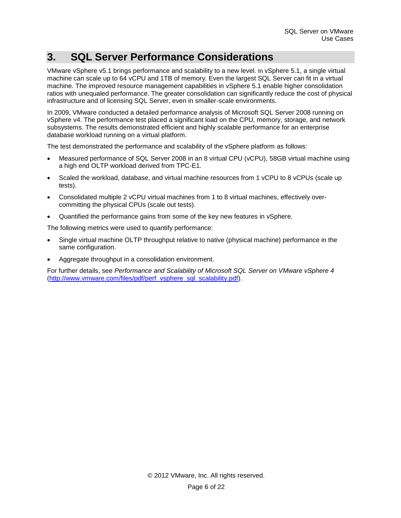# <span id="page-5-0"></span>**3. SQL Server Performance Considerations**

VMware vSphere v5.1 brings performance and scalability to a new level. In vSphere 5.1, a single virtual machine can scale up to 64 vCPU and 1TB of memory. Even the largest SQL Server can fit in a virtual machine. The improved resource management capabilities in vSphere 5.1 enable higher consolidation ratios with unequaled performance. The greater consolidation can significantly reduce the cost of physical infrastructure and of licensing SQL Server, even in smaller-scale environments.

In 2009, VMware conducted a detailed performance analysis of Microsoft SQL Server 2008 running on vSphere v4. The performance test placed a significant load on the CPU, memory, storage, and network subsystems. The results demonstrated efficient and highly scalable performance for an enterprise database workload running on a virtual platform.

The test demonstrated the performance and scalability of the vSphere platform as follows:

- Measured performance of SQL Server 2008 in an 8 virtual CPU (vCPU), 58GB virtual machine using a high end OLTP workload derived from TPC-E1.
- Scaled the workload, database, and virtual machine resources from 1 vCPU to 8 vCPUs (scale up tests).
- Consolidated multiple 2 vCPU virtual machines from 1 to 8 virtual machines, effectively overcommitting the physical CPUs (scale out tests).
- Quantified the performance gains from some of the key new features in vSphere.

The following metrics were used to quantify performance:

- Single virtual machine OLTP throughput relative to native (physical machine) performance in the same configuration.
- Aggregate throughput in a consolidation environment.

For further details, see *Performance and Scalability of Microsoft SQL Server on VMware vSphere 4* (http://www.ymware.com/files/pdf/perf\_vsphere\_sql\_scalability.pdf).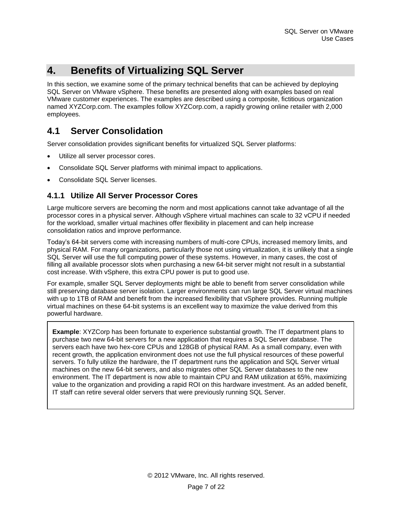# <span id="page-6-0"></span>**4. Benefits of Virtualizing SQL Server**

In this section, we examine some of the primary technical benefits that can be achieved by deploying SQL Server on VMware vSphere. These benefits are presented along with examples based on real VMware customer experiences. The examples are described using a composite, fictitious organization named XYZCorp.com. The examples follow XYZCorp.com, a rapidly growing online retailer with 2,000 employees.

## <span id="page-6-1"></span>**4.1 Server Consolidation**

Server consolidation provides significant benefits for virtualized SQL Server platforms:

- Utilize all server processor cores.
- Consolidate SQL Server platforms with minimal impact to applications.
- Consolidate SQL Server licenses.

### **4.1.1 Utilize All Server Processor Cores**

Large multicore servers are becoming the norm and most applications cannot take advantage of all the processor cores in a physical server. Although vSphere virtual machines can scale to 32 vCPU if needed for the workload, smaller virtual machines offer flexibility in placement and can help increase consolidation ratios and improve performance.

Today's 64-bit servers come with increasing numbers of multi-core CPUs, increased memory limits, and physical RAM. For many organizations, particularly those not using virtualization, it is unlikely that a single SQL Server will use the full computing power of these systems. However, in many cases, the cost of filling all available processor slots when purchasing a new 64-bit server might not result in a substantial cost increase. With vSphere, this extra CPU power is put to good use.

For example, smaller SQL Server deployments might be able to benefit from server consolidation while still preserving database server isolation. Larger environments can run large SQL Server virtual machines with up to 1TB of RAM and benefit from the increased flexibility that vSphere provides. Running multiple virtual machines on these 64-bit systems is an excellent way to maximize the value derived from this powerful hardware.

**Example**: XYZCorp has been fortunate to experience substantial growth. The IT department plans to purchase two new 64-bit servers for a new application that requires a SQL Server database. The servers each have two hex-core CPUs and 128GB of physical RAM. As a small company, even with recent growth, the application environment does not use the full physical resources of these powerful servers. To fully utilize the hardware, the IT department runs the application and SQL Server virtual machines on the new 64-bit servers, and also migrates other SQL Server databases to the new environment. The IT department is now able to maintain CPU and RAM utilization at 65%, maximizing value to the organization and providing a rapid ROI on this hardware investment. As an added benefit, IT staff can retire several older servers that were previously running SQL Server.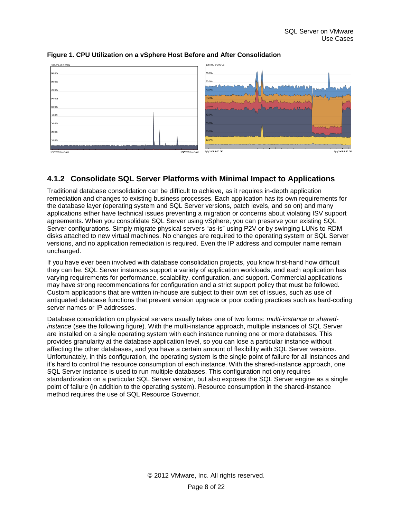

#### <span id="page-7-0"></span>**Figure 1. CPU Utilization on a vSphere Host Before and After Consolidation**

### **4.1.2 Consolidate SQL Server Platforms with Minimal Impact to Applications**

Traditional database consolidation can be difficult to achieve, as it requires in-depth application remediation and changes to existing business processes. Each application has its own requirements for the database layer (operating system and SQL Server versions, patch levels, and so on) and many applications either have technical issues preventing a migration or concerns about violating ISV support agreements. When you consolidate SQL Server using vSphere, you can preserve your existing SQL Server configurations. Simply migrate physical servers "as-is" using P2V or by swinging LUNs to RDM disks attached to new virtual machines. No changes are required to the operating system or SQL Server versions, and no application remediation is required. Even the IP address and computer name remain unchanged.

If you have ever been involved with database consolidation projects, you know first-hand how difficult they can be. SQL Server instances support a variety of application workloads, and each application has varying requirements for performance, scalability, configuration, and support. Commercial applications may have strong recommendations for configuration and a strict support policy that must be followed. Custom applications that are written in-house are subject to their own set of issues, such as use of antiquated database functions that prevent version upgrade or poor coding practices such as hard-coding server names or IP addresses.

Database consolidation on physical servers usually takes one of two forms: *multi-instance* or *sharedinstance* (see the following figure). With the multi-instance approach, multiple instances of SQL Server are installed on a single operating system with each instance running one or more databases. This provides granularity at the database application level, so you can lose a particular instance without affecting the other databases, and you have a certain amount of flexibility with SQL Server versions. Unfortunately, in this configuration, the operating system is the single point of failure for all instances and it's hard to control the resource consumption of each instance. With the shared-instance approach, one SQL Server instance is used to run multiple databases. This configuration not only requires standardization on a particular SQL Server version, but also exposes the SQL Server engine as a single point of failure (in addition to the operating system). Resource consumption in the shared-instance method requires the use of SQL Resource Governor.

> © 2012 VMware, Inc. All rights reserved. Page 8 of 22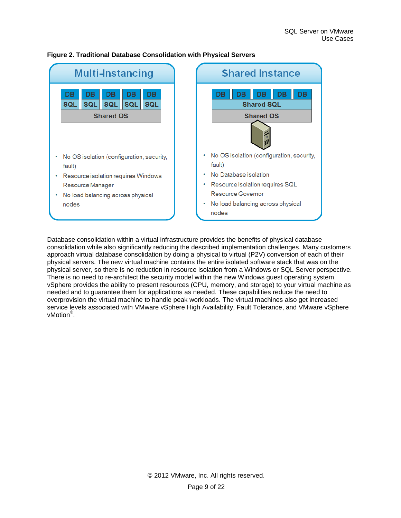| <b>Multi-Instancing</b>                                                                                                                                      | <b>Shared Instance</b>                                                                                                                                                    |
|--------------------------------------------------------------------------------------------------------------------------------------------------------------|---------------------------------------------------------------------------------------------------------------------------------------------------------------------------|
| DВ<br>DB.<br>DB.<br>DB.<br><b>DB</b><br><b>SQL</b><br><b>SQL</b><br><b>SQL</b><br><b>SQL</b><br>SQL<br><b>Shared OS</b>                                      | <b>DB</b><br>DB<br>DB<br>DB<br>DВ<br><b>Shared SQL</b><br><b>Shared OS</b>                                                                                                |
| No OS isolation (configuration, security,<br>fault)<br>Resource isolation requires Windows<br>Resource Manager<br>No load balancing across physical<br>nodes | No OS isolation (configuration, security,<br>fault)<br>No Database isolation<br>Resource isolation requires SQL<br>Resource Governor<br>No load balancing across physical |
|                                                                                                                                                              | nodes                                                                                                                                                                     |

#### <span id="page-8-0"></span>**Figure 2. Traditional Database Consolidation with Physical Servers**

Database consolidation within a virtual infrastructure provides the benefits of physical database consolidation while also significantly reducing the described implementation challenges. Many customers approach virtual database consolidation by doing a physical to virtual (P2V) conversion of each of their physical servers. The new virtual machine contains the entire isolated software stack that was on the physical server, so there is no reduction in resource isolation from a Windows or SQL Server perspective. There is no need to re-architect the security model within the new Windows guest operating system. vSphere provides the ability to present resources (CPU, memory, and storage) to your virtual machine as needed and to guarantee them for applications as needed. These capabilities reduce the need to overprovision the virtual machine to handle peak workloads. The virtual machines also get increased service levels associated with VMware vSphere High Availability, Fault Tolerance, and VMware vSphere vMotion® .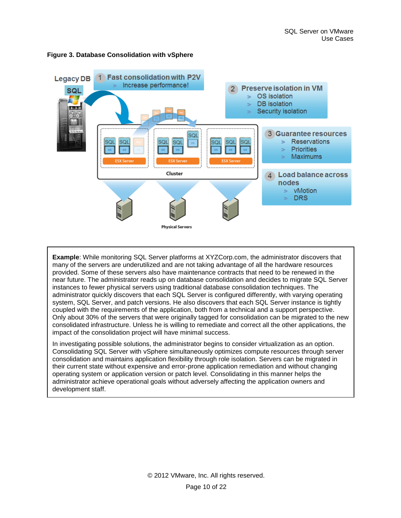

#### <span id="page-9-0"></span>**Figure 3. Database Consolidation with vSphere**

**Example**: While monitoring SQL Server platforms at XYZCorp.com, the administrator discovers that many of the servers are underutilized and are not taking advantage of all the hardware resources provided. Some of these servers also have maintenance contracts that need to be renewed in the near future. The administrator reads up on database consolidation and decides to migrate SQL Server instances to fewer physical servers using traditional database consolidation techniques. The administrator quickly discovers that each SQL Server is configured differently, with varying operating system, SQL Server, and patch versions. He also discovers that each SQL Server instance is tightly coupled with the requirements of the application, both from a technical and a support perspective. Only about 30% of the servers that were originally tagged for consolidation can be migrated to the new consolidated infrastructure. Unless he is willing to remediate and correct all the other applications, the impact of the consolidation project will have minimal success.

In investigating possible solutions, the administrator begins to consider virtualization as an option. Consolidating SQL Server with vSphere simultaneously optimizes compute resources through server consolidation and maintains application flexibility through role isolation. Servers can be migrated in their current state without expensive and error-prone application remediation and without changing operating system or application version or patch level. Consolidating in this manner helps the administrator achieve operational goals without adversely affecting the application owners and development staff.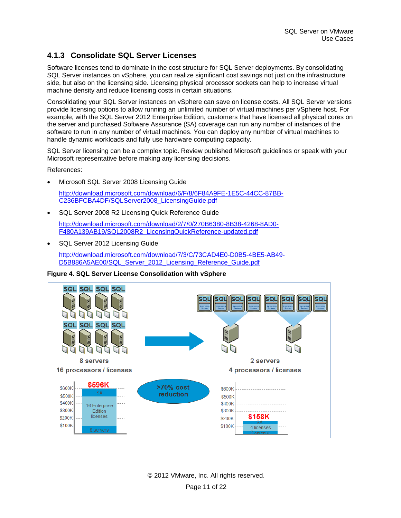### **4.1.3 Consolidate SQL Server Licenses**

Software licenses tend to dominate in the cost structure for SQL Server deployments. By consolidating SQL Server instances on vSphere, you can realize significant cost savings not just on the infrastructure side, but also on the licensing side. Licensing physical processor sockets can help to increase virtual machine density and reduce licensing costs in certain situations.

Consolidating your SQL Server instances on vSphere can save on license costs. All SQL Server versions provide licensing options to allow running an unlimited number of virtual machines per vSphere host. For example, with the SQL Server 2012 Enterprise Edition, customers that have licensed all physical cores on the server and purchased Software Assurance (SA) coverage can run any number of instances of the software to run in any number of virtual machines. You can deploy any number of virtual machines to handle dynamic workloads and fully use hardware computing capacity.

SQL Server licensing can be a complex topic. Review published Microsoft guidelines or speak with your Microsoft representative before making any licensing decisions.

References:

Microsoft SQL Server 2008 Licensing Guide

[http://download.microsoft.com/download/6/F/8/6F84A9FE-1E5C-44CC-87BB-](http://download.microsoft.com/download/6/F/8/6F84A9FE-1E5C-44CC-87BB-C236BFCBA4DF/SQLServer2008_LicensingGuide.pdf)[C236BFCBA4DF/SQLServer2008\\_LicensingGuide.pdf](http://download.microsoft.com/download/6/F/8/6F84A9FE-1E5C-44CC-87BB-C236BFCBA4DF/SQLServer2008_LicensingGuide.pdf)

SQL Server 2008 R2 Licensing Quick Reference Guide

[http://download.microsoft.com/download/2/7/0/270B6380-8B38-4268-8AD0-](http://download.microsoft.com/download/2/7/0/270B6380-8B38-4268-8AD0-F480A139AB19/SQL2008R2_LicensingQuickReference-updated.pdf) [F480A139AB19/SQL2008R2\\_LicensingQuickReference-updated.pdf](http://download.microsoft.com/download/2/7/0/270B6380-8B38-4268-8AD0-F480A139AB19/SQL2008R2_LicensingQuickReference-updated.pdf)

SQL Server 2012 Licensing Guide

[http://download.microsoft.com/download/7/3/C/73CAD4E0-D0B5-4BE5-AB49-](http://download.microsoft.com/download/7/3/C/73CAD4E0-D0B5-4BE5-AB49-D5B886A5AE00/SQL_Server_2012_Licensing_Reference_Guide.pdf) [D5B886A5AE00/SQL\\_Server\\_2012\\_Licensing\\_Reference\\_Guide.pdf](http://download.microsoft.com/download/7/3/C/73CAD4E0-D0B5-4BE5-AB49-D5B886A5AE00/SQL_Server_2012_Licensing_Reference_Guide.pdf)

<span id="page-10-0"></span>

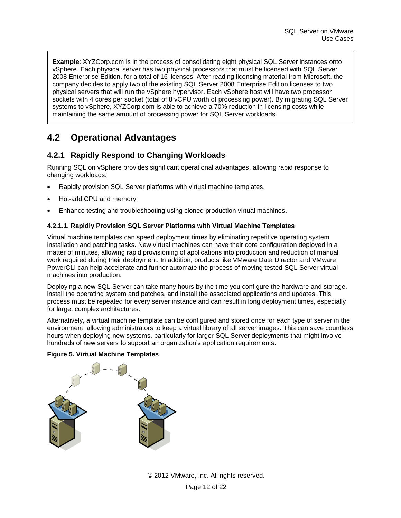**Example**: XYZCorp.com is in the process of consolidating eight physical SQL Server instances onto vSphere. Each physical server has two physical processors that must be licensed with SQL Server 2008 Enterprise Edition, for a total of 16 licenses. After reading licensing material from Microsoft, the company decides to apply two of the existing SQL Server 2008 Enterprise Edition licenses to two physical servers that will run the vSphere hypervisor. Each vSphere host will have two processor sockets with 4 cores per socket (total of 8 vCPU worth of processing power). By migrating SQL Server systems to vSphere, XYZCorp.com is able to achieve a 70% reduction in licensing costs while maintaining the same amount of processing power for SQL Server workloads.

## <span id="page-11-0"></span>**4.2 Operational Advantages**

### **4.2.1 Rapidly Respond to Changing Workloads**

Running SQL on vSphere provides significant operational advantages, allowing rapid response to changing workloads:

- Rapidly provision SQL Server platforms with virtual machine templates.
- Hot-add CPU and memory.
- Enhance testing and troubleshooting using cloned production virtual machines.

#### **4.2.1.1. Rapidly Provision SQL Server Platforms with Virtual Machine Templates**

Virtual machine templates can speed deployment times by eliminating repetitive operating system installation and patching tasks. New virtual machines can have their core configuration deployed in a matter of minutes, allowing rapid provisioning of applications into production and reduction of manual work required during their deployment. In addition, products like VMware Data Director and VMware PowerCLI can help accelerate and further automate the process of moving tested SQL Server virtual machines into production.

Deploying a new SQL Server can take many hours by the time you configure the hardware and storage, install the operating system and patches, and install the associated applications and updates. This process must be repeated for every server instance and can result in long deployment times, especially for large, complex architectures.

Alternatively, a virtual machine template can be configured and stored once for each type of server in the environment, allowing administrators to keep a virtual library of all server images. This can save countless hours when deploying new systems, particularly for larger SQL Server deployments that might involve hundreds of new servers to support an organization's application requirements.

#### <span id="page-11-1"></span>**Figure 5. Virtual Machine Templates**

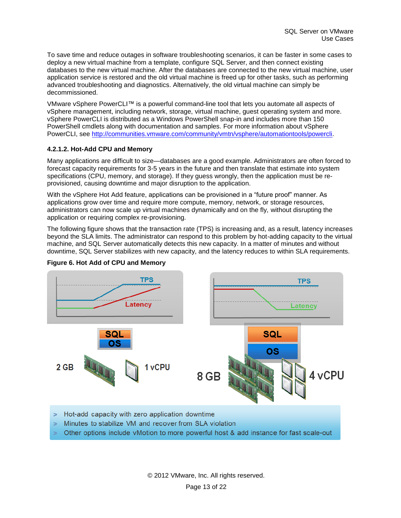To save time and reduce outages in software troubleshooting scenarios, it can be faster in some cases to deploy a new virtual machine from a template, configure SQL Server, and then connect existing databases to the new virtual machine. After the databases are connected to the new virtual machine, user application service is restored and the old virtual machine is freed up for other tasks, such as performing advanced troubleshooting and diagnostics. Alternatively, the old virtual machine can simply be decommissioned.

VMware vSphere PowerCLI™ is a powerful command-line tool that lets you automate all aspects of vSphere management, including network, storage, virtual machine, guest operating system and more. vSphere PowerCLI is distributed as a [Windows PowerShell](http://www.google.com/search?q=Windows+PowerShell&btnI=3564) snap-in and includes more than 150 PowerShell cmdlets along with documentation and samples. For more information about vSphere PowerCLI, see [http://communities.vmware.com/community/vmtn/vsphere/automationtools/powercli.](http://communities.vmware.com/community/vmtn/vsphere/automationtools/powercli)

#### **4.2.1.2. Hot-Add CPU and Memory**

Many applications are difficult to size—databases are a good example. Administrators are often forced to forecast capacity requirements for 3-5 years in the future and then translate that estimate into system specifications (CPU, memory, and storage). If they guess wrongly, then the application must be reprovisioned, causing downtime and major disruption to the application.

With the vSphere Hot Add feature, applications can be provisioned in a "future proof" manner. As applications grow over time and require more compute, memory, network, or storage resources, administrators can now scale up virtual machines dynamically and on the fly, without disrupting the application or requiring complex re-provisioning.

The following figure shows that the transaction rate (TPS) is increasing and, as a result, latency increases beyond the SLA limits. The administrator can respond to this problem by hot-adding capacity to the virtual machine, and SQL Server automatically detects this new capacity. In a matter of minutes and without downtime, SQL Server stabilizes with new capacity, and the latency reduces to within SLA requirements.



#### <span id="page-12-0"></span>**Figure 6. Hot Add of CPU and Memory**

- > Hot-add capacity with zero application downtime
- > Minutes to stabilize VM and recover from SLA violation
- Other options include vMotion to more powerful host & add instance for fast scale-out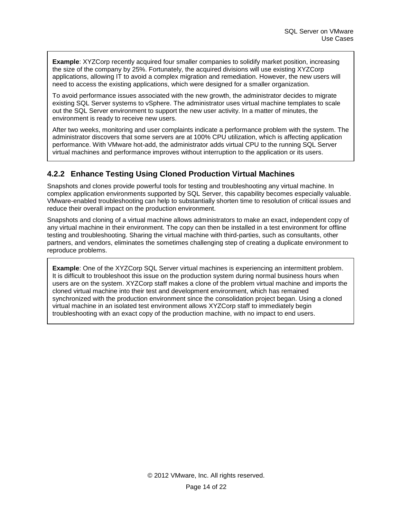**Example**: XYZCorp recently acquired four smaller companies to solidify market position, increasing the size of the company by 25%. Fortunately, the acquired divisions will use existing XYZCorp applications, allowing IT to avoid a complex migration and remediation. However, the new users will need to access the existing applications, which were designed for a smaller organization.

To avoid performance issues associated with the new growth, the administrator decides to migrate existing SQL Server systems to vSphere. The administrator uses virtual machine templates to scale out the SQL Server environment to support the new user activity. In a matter of minutes, the environment is ready to receive new users.

After two weeks, monitoring and user complaints indicate a performance problem with the system. The administrator discovers that some servers are at 100% CPU utilization, which is affecting application performance. With VMware hot-add, the administrator adds virtual CPU to the running SQL Server virtual machines and performance improves without interruption to the application or its users.

### **4.2.2 Enhance Testing Using Cloned Production Virtual Machines**

Snapshots and clones provide powerful tools for testing and troubleshooting any virtual machine. In complex application environments supported by SQL Server, this capability becomes especially valuable. VMware-enabled troubleshooting can help to substantially shorten time to resolution of critical issues and reduce their overall impact on the production environment.

Snapshots and cloning of a virtual machine allows administrators to make an exact, independent copy of any virtual machine in their environment. The copy can then be installed in a test environment for offline testing and troubleshooting. Sharing the virtual machine with third-parties, such as consultants, other partners, and vendors, eliminates the sometimes challenging step of creating a duplicate environment to reproduce problems.

**Example**: One of the XYZCorp SQL Server virtual machines is experiencing an intermittent problem. It is difficult to troubleshoot this issue on the production system during normal business hours when users are on the system. XYZCorp staff makes a clone of the problem virtual machine and imports the cloned virtual machine into their test and development environment, which has remained synchronized with the production environment since the consolidation project began. Using a cloned virtual machine in an isolated test environment allows XYZCorp staff to immediately begin troubleshooting with an exact copy of the production machine, with no impact to end users.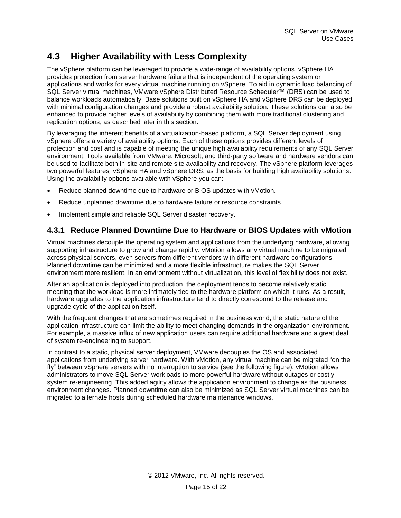## <span id="page-14-0"></span>**4.3 Higher Availability with Less Complexity**

The vSphere platform can be leveraged to provide a wide-range of availability options. vSphere HA provides protection from server hardware failure that is independent of the operating system or applications and works for every virtual machine running on vSphere. To aid in dynamic load balancing of SQL Server virtual machines, VMware vSphere Distributed Resource Scheduler™ (DRS) can be used to balance workloads automatically. Base solutions built on vSphere HA and vSphere DRS can be deployed with minimal configuration changes and provide a robust availability solution. These solutions can also be enhanced to provide higher levels of availability by combining them with more traditional clustering and replication options, as described later in this section.

By leveraging the inherent benefits of a virtualization-based platform, a SQL Server deployment using vSphere offers a variety of availability options. Each of these options provides different levels of protection and cost and is capable of meeting the unique high availability requirements of any SQL Server environment. Tools available from VMware, Microsoft, and third-party software and hardware vendors can be used to facilitate both in-site and remote site availability and recovery. The vSphere platform leverages two powerful features*,* vSphere HA and vSphere DRS, as the basis for building high availability solutions. Using the availability options available with vSphere you can:

- Reduce planned downtime due to hardware or BIOS updates with vMotion.
- Reduce unplanned downtime due to hardware failure or resource constraints.
- Implement simple and reliable SQL Server disaster recovery.

### **4.3.1 Reduce Planned Downtime Due to Hardware or BIOS Updates with vMotion**

Virtual machines decouple the operating system and applications from the underlying hardware, allowing supporting infrastructure to grow and change rapidly. vMotion allows any virtual machine to be migrated across physical servers, even servers from different vendors with different hardware configurations. Planned downtime can be minimized and a more flexible infrastructure makes the SQL Server environment more resilient. In an environment without virtualization, this level of flexibility does not exist.

After an application is deployed into production, the deployment tends to become relatively static, meaning that the workload is more intimately tied to the hardware platform on which it runs. As a result, hardware upgrades to the application infrastructure tend to directly correspond to the release and upgrade cycle of the application itself.

With the frequent changes that are sometimes required in the business world, the static nature of the application infrastructure can limit the ability to meet changing demands in the organization environment. For example, a massive influx of new application users can require additional hardware and a great deal of system re-engineering to support.

In contrast to a static, physical server deployment, VMware decouples the OS and associated applications from underlying server hardware. With vMotion, any virtual machine can be migrated "on the fly" between vSphere servers with no interruption to service (see the following figure). vMotion allows administrators to move SQL Server workloads to more powerful hardware without outages or costly system re-engineering. This added agility allows the application environment to change as the business environment changes. Planned downtime can also be minimized as SQL Server virtual machines can be migrated to alternate hosts during scheduled hardware maintenance windows.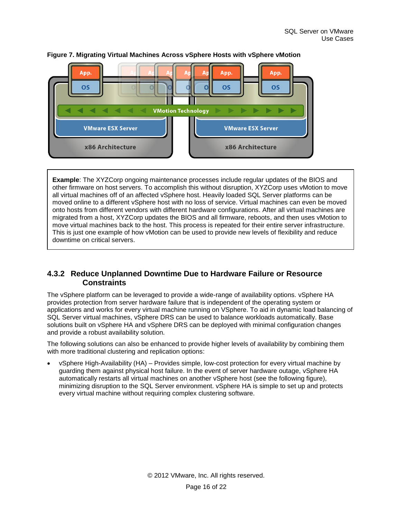

#### <span id="page-15-0"></span>**Figure 7. Migrating Virtual Machines Across vSphere Hosts with vSphere vMotion**

**Example**: The XYZCorp ongoing maintenance processes include regular updates of the BIOS and other firmware on host servers. To accomplish this without disruption, XYZCorp uses vMotion to move all virtual machines off of an affected vSphere host. Heavily loaded SQL Server platforms can be moved online to a different vSphere host with no loss of service. Virtual machines can even be moved onto hosts from different vendors with different hardware configurations. After all virtual machines are migrated from a host, XYZCorp updates the BIOS and all firmware, reboots, and then uses vMotion to move virtual machines back to the host. This process is repeated for their entire server infrastructure. This is just one example of how vMotion can be used to provide new levels of flexibility and reduce downtime on critical servers.

### **4.3.2 Reduce Unplanned Downtime Due to Hardware Failure or Resource Constraints**

The vSphere platform can be leveraged to provide a wide-range of availability options. vSphere HA provides protection from server hardware failure that is independent of the operating system or applications and works for every virtual machine running on VSphere. To aid in dynamic load balancing of SQL Server virtual machines, vSphere DRS can be used to balance workloads automatically. Base solutions built on vSphere HA and vSphere DRS can be deployed with minimal configuration changes and provide a robust availability solution.

The following solutions can also be enhanced to provide higher levels of availability by combining them with more traditional clustering and replication options:

 vSphere High-Availability (HA) – Provides simple, low-cost protection for every virtual machine by guarding them against physical host failure. In the event of server hardware outage, vSphere HA automatically restarts all virtual machines on another vSphere host (see the following figure), minimizing disruption to the SQL Server environment. vSphere HA is simple to set up and protects every virtual machine without requiring complex clustering software.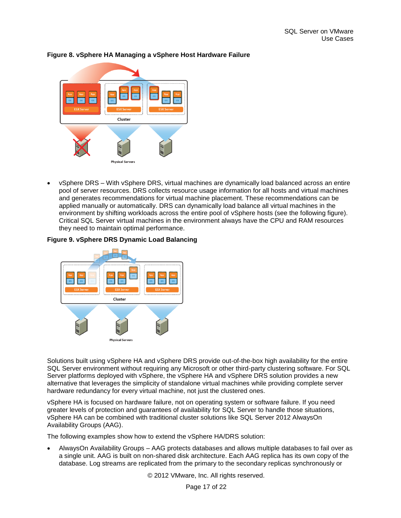

#### <span id="page-16-0"></span>**Figure 8. vSphere HA Managing a vSphere Host Hardware Failure**

 vSphere DRS – With vSphere DRS, virtual machines are dynamically load balanced across an entire pool of server resources. DRS collects resource usage information for all hosts and virtual machines and generates recommendations for virtual machine placement. These recommendations can be applied manually or automatically. DRS can dynamically load balance all virtual machines in the environment by shifting workloads across the entire pool of vSphere hosts (see the following figure). Critical SQL Server virtual machines in the environment always have the CPU and RAM resources they need to maintain optimal performance.

#### <span id="page-16-1"></span>**Figure 9. vSphere DRS Dynamic Load Balancing**



Solutions built using vSphere HA and vSphere DRS provide out-of-the-box high availability for the entire SQL Server environment without requiring any Microsoft or other third-party clustering software. For SQL Server platforms deployed with vSphere, the vSphere HA and vSphere DRS solution provides a new alternative that leverages the simplicity of standalone virtual machines while providing complete server hardware redundancy for every virtual machine, not just the clustered ones.

vSphere HA is focused on hardware failure, not on operating system or software failure. If you need greater levels of protection and guarantees of availability for SQL Server to handle those situations, vSphere HA can be combined with traditional cluster solutions like SQL Server 2012 AlwaysOn Availability Groups (AAG).

The following examples show how to extend the vSphere HA/DRS solution:

 AlwaysOn Availability Groups – AAG protects databases and allows multiple databases to fail over as a single unit. AAG is built on non-shared disk architecture. Each AAG replica has its own copy of the database. Log streams are replicated from the primary to the secondary replicas synchronously or

© 2012 VMware, Inc. All rights reserved.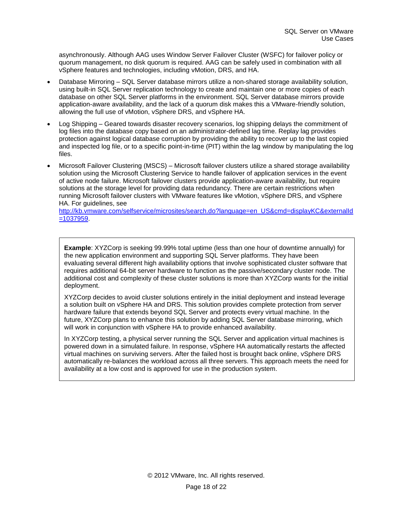asynchronously. Although AAG uses Window Server Failover Cluster (WSFC) for failover policy or quorum management, no disk quorum is required. AAG can be safely used in combination with all vSphere features and technologies, including vMotion, DRS, and HA.

- Database Mirroring SQL Server database mirrors utilize a non-shared storage availability solution, using built-in SQL Server replication technology to create and maintain one or more copies of each database on other SQL Server platforms in the environment. SQL Server database mirrors provide application-aware availability, and the lack of a quorum disk makes this a VMware-friendly solution, allowing the full use of vMotion, vSphere DRS, and vSphere HA.
- Log Shipping Geared towards disaster recovery scenarios, log shipping delays the commitment of log files into the database copy based on an administrator-defined lag time. Replay lag provides protection against logical database corruption by providing the ability to recover up to the last copied and inspected log file, or to a specific point-in-time (PIT) within the lag window by manipulating the log files.
- Microsoft Failover Clustering (MSCS) Microsoft failover clusters utilize a shared storage availability solution using the Microsoft Clustering Service to handle failover of application services in the event of active node failure. Microsoft failover clusters provide application-aware availability, but require solutions at the storage level for providing data redundancy. There are certain restrictions when running Microsoft failover clusters with VMware features like vMotion, vSphere DRS, and vSphere HA. For guidelines, see

[http://kb.vmware.com/selfservice/microsites/search.do?language=en\\_US&cmd=displayKC&externalId](http://kb.vmware.com/selfservice/microsites/search.do?language=en_US&cmd=displayKC&externalId=1037959) [=1037959.](http://kb.vmware.com/selfservice/microsites/search.do?language=en_US&cmd=displayKC&externalId=1037959)

**Example**: XYZCorp is seeking 99.99% total uptime (less than one hour of downtime annually) for the new application environment and supporting SQL Server platforms. They have been evaluating several different high availability options that involve sophisticated cluster software that requires additional 64-bit server hardware to function as the passive/secondary cluster node. The additional cost and complexity of these cluster solutions is more than XYZCorp wants for the initial deployment.

XYZCorp decides to avoid cluster solutions entirely in the initial deployment and instead leverage a solution built on vSphere HA and DRS. This solution provides complete protection from server hardware failure that extends beyond SQL Server and protects every virtual machine. In the future, XYZCorp plans to enhance this solution by adding SQL Server database mirroring, which will work in conjunction with vSphere HA to provide enhanced availability.

In XYZCorp testing, a physical server running the SQL Server and application virtual machines is powered down in a simulated failure. In response, vSphere HA automatically restarts the affected virtual machines on surviving servers. After the failed host is brought back online, vSphere DRS automatically re-balances the workload across all three servers. This approach meets the need for availability at a low cost and is approved for use in the production system.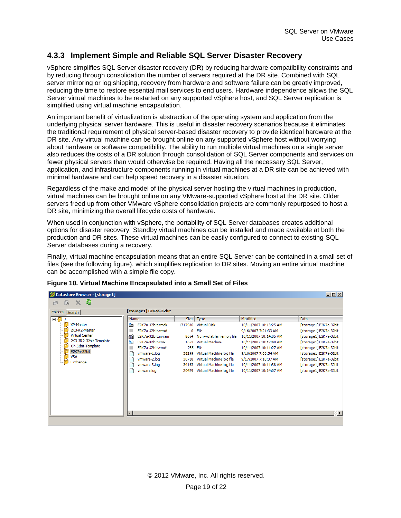### **4.3.3 Implement Simple and Reliable SQL Server Disaster Recovery**

vSphere simplifies SQL Server disaster recovery (DR) by reducing hardware compatibility constraints and by reducing through consolidation the number of servers required at the DR site. Combined with SQL server mirroring or log shipping, recovery from hardware and software failure can be greatly improved, reducing the time to restore essential mail services to end users. Hardware independence allows the SQL Server virtual machines to be restarted on any supported vSphere host, and SQL Server replication is simplified using virtual machine encapsulation.

An important benefit of virtualization is abstraction of the operating system and application from the underlying physical server hardware. This is useful in disaster recovery scenarios because it eliminates the traditional requirement of physical server-based disaster recovery to provide identical hardware at the DR site. Any virtual machine can be brought online on any supported vSphere host without worrying about hardware or software compatibility. The ability to run multiple virtual machines on a single server also reduces the costs of a DR solution through consolidation of SQL Server components and services on fewer physical servers than would otherwise be required. Having all the necessary SQL Server, application, and infrastructure components running in virtual machines at a DR site can be achieved with minimal hardware and can help speed recovery in a disaster situation.

Regardless of the make and model of the physical server hosting the virtual machines in production, virtual machines can be brought online on any VMware-supported vSphere host at the DR site. Older servers freed up from other VMware vSphere consolidation projects are commonly repurposed to host a DR site, minimizing the overall lifecycle costs of hardware.

When used in conjunction with vSphere, the portability of SQL Server databases creates additional options for disaster recovery. Standby virtual machines can be installed and made available at both the production and DR sites. These virtual machines can be easily configured to connect to existing SQL Server databases during a recovery.

Finally, virtual machine encapsulation means that an entire SQL Server can be contained in a small set of files (see the following figure), which simplifies replication to DR sites. Moving an entire virtual machine can be accomplished with a simple file copy.

| <b>Folders</b><br>Search                    | [storage1] E2K7a-32bit                          |       |                                                            |                                                  |                                                  |
|---------------------------------------------|-------------------------------------------------|-------|------------------------------------------------------------|--------------------------------------------------|--------------------------------------------------|
| d Ø<br>XP-Master                            | Name<br>æ.<br>E2K7a-32bit.vmdk                  |       | Size Type<br>1717986 Virtual Disk                          | Modified<br>10/11/2007 10:13:25 AM               | Path<br>[storage1] E2K7a-32bit                   |
| 2K3-R2-Master<br><b>Virtual Center</b>      | E2K7a-32bit.vmsd<br>п<br>A<br>E2K7a-32bit.nvram |       | 0 File<br>8664 Non-volatile memory file                    | 9/16/2007 7:21:33 AM<br>10/11/2007 10:14:05 AM   | [storage1] E2K7a-32bit<br>[storage1] E2K7a-32bit |
| 2K3-3R2-32bit-Template<br>XP-32bit-Template | 喦<br>E2K7a-32bit.vmx<br>E2K7a-32bit.vmxf        |       | 1663 Virtual Machine<br>255 File                           | 10/11/2007 10:12:48 AM<br>10/11/2007 10:11:27 AM | [storage1] E2K7a-32bit<br>[storage1] E2K7a-32bit |
| E2K7a-32bit<br><b>VSA</b>                   | vmware-1.log                                    | 30718 | 58299 Virtual Machine log file                             | 9/16/2007 7:06:54 AM                             | [storage1] E2K7a-32bit                           |
| Exchange                                    | vmware-2.log<br>vmware-3.log                    |       | Virtual Machine log file<br>34163 Virtual Machine log file | 9/17/2007 7:18:37 AM<br>10/11/2007 10:11:38 AM   | [storage1] E2K7a-32bit<br>[storage1] E2K7a-32bit |
|                                             | vmware.log                                      |       | 20429 Virtual Machine log file                             | 10/11/2007 10:14:07 AM                           | [storage1] E2K7a-32bit                           |
|                                             |                                                 |       |                                                            |                                                  |                                                  |
|                                             |                                                 |       |                                                            |                                                  |                                                  |
|                                             | $\left  \cdot \right $                          |       |                                                            |                                                  | $\overline{\phantom{a}}$                         |

<span id="page-18-0"></span>**Figure 10. Virtual Machine Encapsulated into a Small Set of Files**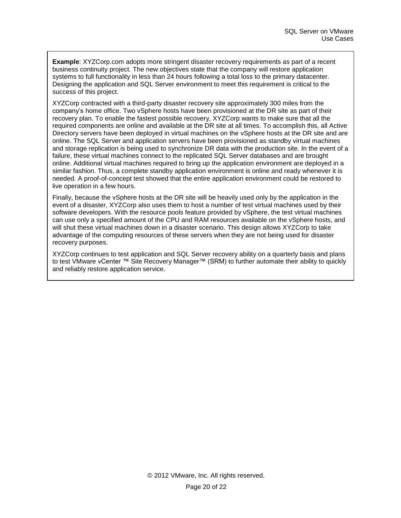**Example**: XYZCorp.com adopts more stringent disaster recovery requirements as part of a recent business continuity project. The new objectives state that the company will restore application systems to full functionality in less than 24 hours following a total loss to the primary datacenter. Designing the application and SQL Server environment to meet this requirement is critical to the success of this project.

XYZCorp contracted with a third-party disaster recovery site approximately 300 miles from the company's home office. Two vSphere hosts have been provisioned at the DR site as part of their recovery plan. To enable the fastest possible recovery, XYZCorp wants to make sure that all the required components are online and available at the DR site at all times. To accomplish this, all Active Directory servers have been deployed in virtual machines on the vSphere hosts at the DR site and are online. The SQL Server and application servers have been provisioned as standby virtual machines and storage replication is being used to synchronize DR data with the production site. In the event of a failure, these virtual machines connect to the replicated SQL Server databases and are brought online. Additional virtual machines required to bring up the application environment are deployed in a similar fashion. Thus, a complete standby application environment is online and ready whenever it is needed. A proof-of-concept test showed that the entire application environment could be restored to live operation in a few hours.

Finally, because the vSphere hosts at the DR site will be heavily used only by the application in the event of a disaster, XYZCorp also uses them to host a number of test virtual machines used by their software developers. With the resource pools feature provided by vSphere, the test virtual machines can use only a specified amount of the CPU and RAM resources available on the vSphere hosts, and will shut these virtual machines down in a disaster scenario. This design allows XYZCorp to take advantage of the computing resources of these servers when they are not being used for disaster recovery purposes.

XYZCorp continues to test application and SQL Server recovery ability on a quarterly basis and plans to test VMware vCenter ™ Site Recovery Manager™ (SRM) to further automate their ability to quickly and reliably restore application service.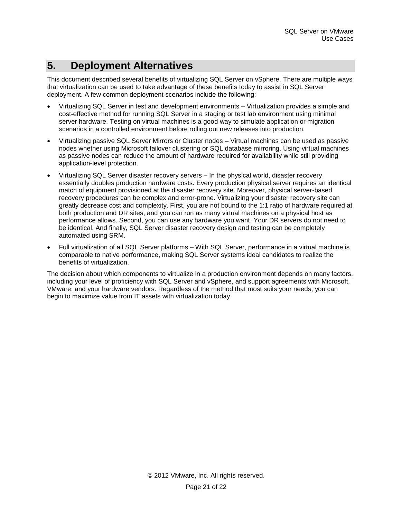# <span id="page-20-0"></span>**5. Deployment Alternatives**

This document described several benefits of virtualizing SQL Server on vSphere. There are multiple ways that virtualization can be used to take advantage of these benefits today to assist in SQL Server deployment. A few common deployment scenarios include the following:

- Virtualizing SQL Server in test and development environments Virtualization provides a simple and cost-effective method for running SQL Server in a staging or test lab environment using minimal server hardware. Testing on virtual machines is a good way to simulate application or migration scenarios in a controlled environment before rolling out new releases into production.
- Virtualizing passive SQL Server Mirrors or Cluster nodes Virtual machines can be used as passive nodes whether using Microsoft failover clustering or SQL database mirroring. Using virtual machines as passive nodes can reduce the amount of hardware required for availability while still providing application-level protection.
- Virtualizing SQL Server disaster recovery servers In the physical world, disaster recovery essentially doubles production hardware costs. Every production physical server requires an identical match of equipment provisioned at the disaster recovery site. Moreover, physical server-based recovery procedures can be complex and error-prone. Virtualizing your disaster recovery site can greatly decrease cost and complexity. First, you are not bound to the 1:1 ratio of hardware required at both production and DR sites, and you can run as many virtual machines on a physical host as performance allows. Second, you can use any hardware you want. Your DR servers do not need to be identical. And finally, SQL Server disaster recovery design and testing can be completely automated using SRM.
- Full virtualization of all SQL Server platforms With SQL Server, performance in a virtual machine is comparable to native performance, making SQL Server systems ideal candidates to realize the benefits of virtualization.

The decision about which components to virtualize in a production environment depends on many factors, including your level of proficiency with SQL Server and vSphere, and support agreements with Microsoft, VMware, and your hardware vendors. Regardless of the method that most suits your needs, you can begin to maximize value from IT assets with virtualization today.